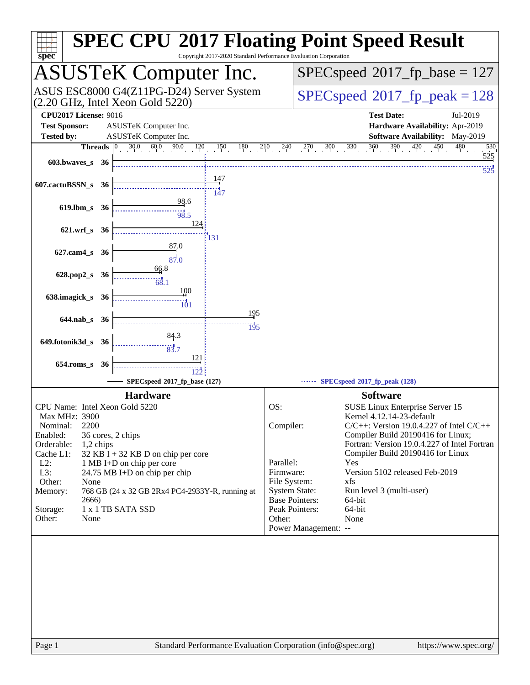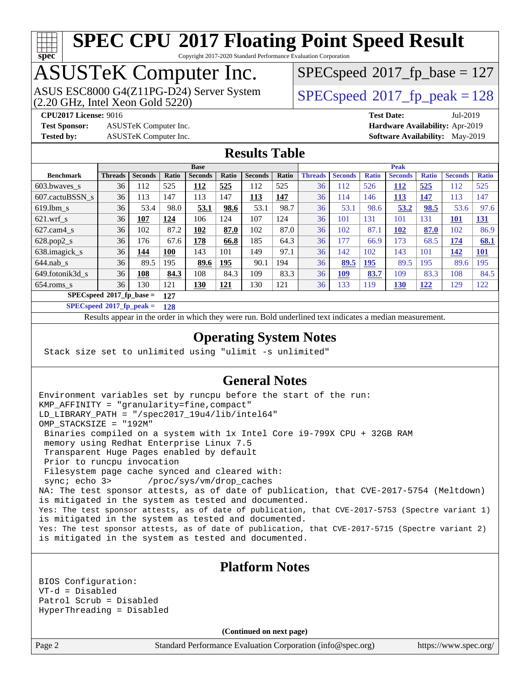## **[spec](http://www.spec.org/)**

### **[SPEC CPU](http://www.spec.org/auto/cpu2017/Docs/result-fields.html#SPECCPU2017FloatingPointSpeedResult)[2017 Floating Point Speed Result](http://www.spec.org/auto/cpu2017/Docs/result-fields.html#SPECCPU2017FloatingPointSpeedResult)**

Copyright 2017-2020 Standard Performance Evaluation Corporation

### ASUSTeK Computer Inc.

(2.20 GHz, Intel Xeon Gold 5220) ASUS ESC8000 G4(Z11PG-D24) Server System  $SPEC speed@2017$  fp\_peak = 128

[SPECspeed](http://www.spec.org/auto/cpu2017/Docs/result-fields.html#SPECspeed2017fpbase)<sup>®</sup>2017 fp base = 127

**[Test Sponsor:](http://www.spec.org/auto/cpu2017/Docs/result-fields.html#TestSponsor)** ASUSTeK Computer Inc. **[Hardware Availability:](http://www.spec.org/auto/cpu2017/Docs/result-fields.html#HardwareAvailability)** Apr-2019

**[CPU2017 License:](http://www.spec.org/auto/cpu2017/Docs/result-fields.html#CPU2017License)** 9016 **[Test Date:](http://www.spec.org/auto/cpu2017/Docs/result-fields.html#TestDate)** Jul-2019 **[Tested by:](http://www.spec.org/auto/cpu2017/Docs/result-fields.html#Testedby)** ASUSTeK Computer Inc. **[Software Availability:](http://www.spec.org/auto/cpu2017/Docs/result-fields.html#SoftwareAvailability)** May-2019

#### **[Results Table](http://www.spec.org/auto/cpu2017/Docs/result-fields.html#ResultsTable)**

|                  | <b>Base</b>                |                |              |                |            |                |       | <b>Peak</b>    |                |              |                |              |                |              |
|------------------|----------------------------|----------------|--------------|----------------|------------|----------------|-------|----------------|----------------|--------------|----------------|--------------|----------------|--------------|
| <b>Benchmark</b> | <b>Threads</b>             | <b>Seconds</b> | <b>Ratio</b> | <b>Seconds</b> | Ratio      | <b>Seconds</b> | Ratio | <b>Threads</b> | <b>Seconds</b> | <b>Ratio</b> | <b>Seconds</b> | <b>Ratio</b> | <b>Seconds</b> | <b>Ratio</b> |
| $603.bwaves$ s   | 36                         | 112            | 525          | 112            | 525        | 112            | 525   | 36             | 112            | 526          | 112            | 525          | 112            | 525          |
| 607.cactuBSSN s  | 36                         | 113            | 147          | 113            | 147        | <u>113</u>     | 147   | 36             | 114            | 146          | 113            | <u>147</u>   | 113            | 147          |
| $619.1$ bm s     | 36                         | 53.4           | 98.0         | 53.1           | 98.6       | 53.1           | 98.7  | 36             | 53.1           | 98.6         | 53.2           | 98.5         | 53.6           | 97.6         |
| $621$ .wrf s     | 36                         | 107            | 124          | 106            | 124        | 107            | 124   | 36             | 101            | 131          | 101            | 131          | <b>101</b>     | <u>131</u>   |
| $627$ .cam4 s    | 36                         | 102            | 87.2         | 102            | 87.0       | 102            | 87.0  | 36             | 102            | 87.1         | 102            | 87.0         | 102            | 86.9         |
| $628.pop2_s$     | 36                         | 176            | 67.6         | 178            | 66.8       | 185            | 64.3  | 36             | 177            | 66.9         | 173            | 68.5         | 174            | 68.1         |
| 638.imagick_s    | 36                         | 144            | <b>100</b>   | 143            | 101        | 149            | 97.1  | 36             | 142            | 102          | 143            | 101          | 142            | 101          |
| $644$ .nab s     | 36                         | 89.5           | 195          | 89.6           | 195        | 90.1           | 194   | 36             | 89.5           | 195          | 89.5           | 195          | 89.6           | 195          |
| 649.fotonik3d s  | 36                         | 108            | 84.3         | 108            | 84.3       | 109            | 83.3  | 36             | 109            | 83.7         | 109            | 83.3         | 108            | 84.5         |
| $654$ .roms_s    | 36                         | 130            | 121          | 130            | <u>121</u> | 130            | 121   | 36             | 133            | 119          | <b>130</b>     | <u>122</u>   | 129            | 122          |
|                  | $SPECspeed*2017$ fp base = |                | 127          |                |            |                |       |                |                |              |                |              |                |              |

**[SPECspeed](http://www.spec.org/auto/cpu2017/Docs/result-fields.html#SPECspeed2017fppeak)[2017\\_fp\\_peak =](http://www.spec.org/auto/cpu2017/Docs/result-fields.html#SPECspeed2017fppeak) 128**

Results appear in the [order in which they were run.](http://www.spec.org/auto/cpu2017/Docs/result-fields.html#RunOrder) Bold underlined text [indicates a median measurement](http://www.spec.org/auto/cpu2017/Docs/result-fields.html#Median).

#### **[Operating System Notes](http://www.spec.org/auto/cpu2017/Docs/result-fields.html#OperatingSystemNotes)**

Stack size set to unlimited using "ulimit -s unlimited"

#### **[General Notes](http://www.spec.org/auto/cpu2017/Docs/result-fields.html#GeneralNotes)**

Environment variables set by runcpu before the start of the run: KMP\_AFFINITY = "granularity=fine,compact" LD\_LIBRARY\_PATH = "/spec2017\_19u4/lib/intel64" OMP\_STACKSIZE = "192M" Binaries compiled on a system with 1x Intel Core i9-799X CPU + 32GB RAM memory using Redhat Enterprise Linux 7.5 Transparent Huge Pages enabled by default Prior to runcpu invocation Filesystem page cache synced and cleared with: sync; echo 3> /proc/sys/vm/drop\_caches NA: The test sponsor attests, as of date of publication, that CVE-2017-5754 (Meltdown) is mitigated in the system as tested and documented. Yes: The test sponsor attests, as of date of publication, that CVE-2017-5753 (Spectre variant 1) is mitigated in the system as tested and documented. Yes: The test sponsor attests, as of date of publication, that CVE-2017-5715 (Spectre variant 2) is mitigated in the system as tested and documented.

#### **[Platform Notes](http://www.spec.org/auto/cpu2017/Docs/result-fields.html#PlatformNotes)**

BIOS Configuration: VT-d = Disabled Patrol Scrub = Disabled HyperThreading = Disabled

**(Continued on next page)**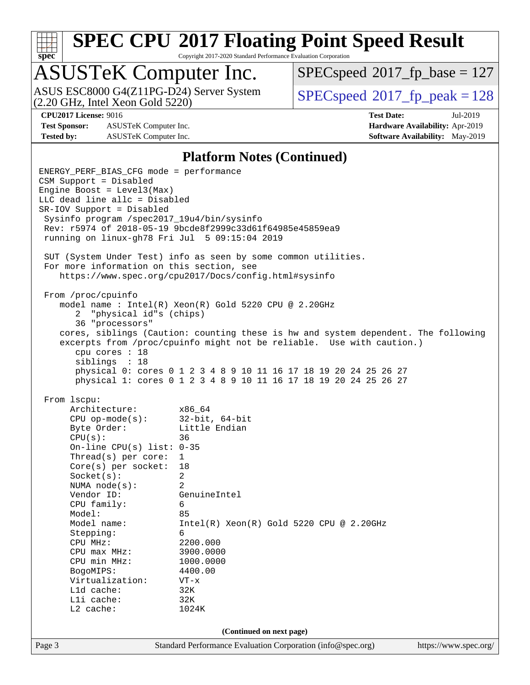

Copyright 2017-2020 Standard Performance Evaluation Corporation

### ASUSTeK Computer Inc.

(2.20 GHz, Intel Xeon Gold 5220) ASUS ESC8000 G4(Z11PG-D24) Server System  $SPECspeed@2017$  $SPECspeed@2017$  fp\_peak = 128

[SPECspeed](http://www.spec.org/auto/cpu2017/Docs/result-fields.html#SPECspeed2017fpbase)<sup>®</sup>2017 fp base = 127

**[Test Sponsor:](http://www.spec.org/auto/cpu2017/Docs/result-fields.html#TestSponsor)** ASUSTeK Computer Inc. **[Hardware Availability:](http://www.spec.org/auto/cpu2017/Docs/result-fields.html#HardwareAvailability)** Apr-2019 **[Tested by:](http://www.spec.org/auto/cpu2017/Docs/result-fields.html#Testedby)** ASUSTeK Computer Inc. **[Software Availability:](http://www.spec.org/auto/cpu2017/Docs/result-fields.html#SoftwareAvailability)** May-2019

**[CPU2017 License:](http://www.spec.org/auto/cpu2017/Docs/result-fields.html#CPU2017License)** 9016 **[Test Date:](http://www.spec.org/auto/cpu2017/Docs/result-fields.html#TestDate)** Jul-2019

#### **[Platform Notes \(Continued\)](http://www.spec.org/auto/cpu2017/Docs/result-fields.html#PlatformNotes)**

Page 3 Standard Performance Evaluation Corporation [\(info@spec.org\)](mailto:info@spec.org) <https://www.spec.org/> ENERGY\_PERF\_BIAS\_CFG mode = performance CSM Support = Disabled Engine Boost = Level3(Max) LLC dead line allc = Disabled SR-IOV Support = Disabled Sysinfo program /spec2017\_19u4/bin/sysinfo Rev: r5974 of 2018-05-19 9bcde8f2999c33d61f64985e45859ea9 running on linux-gh78 Fri Jul 5 09:15:04 2019 SUT (System Under Test) info as seen by some common utilities. For more information on this section, see <https://www.spec.org/cpu2017/Docs/config.html#sysinfo> From /proc/cpuinfo model name : Intel(R) Xeon(R) Gold 5220 CPU @ 2.20GHz 2 "physical id"s (chips) 36 "processors" cores, siblings (Caution: counting these is hw and system dependent. The following excerpts from /proc/cpuinfo might not be reliable. Use with caution.) cpu cores : 18 siblings : 18 physical 0: cores 0 1 2 3 4 8 9 10 11 16 17 18 19 20 24 25 26 27 physical 1: cores 0 1 2 3 4 8 9 10 11 16 17 18 19 20 24 25 26 27 From lscpu: Architecture: x86\_64 CPU op-mode(s): 32-bit, 64-bit Byte Order: Little Endian  $CPU(s):$  36 On-line CPU(s) list: 0-35 Thread(s) per core: 1 Core(s) per socket: 18 Socket(s): 2 NUMA node(s): 2 Vendor ID: GenuineIntel CPU family: 6 Model: 85 Model name: Intel(R) Xeon(R) Gold 5220 CPU @ 2.20GHz Stepping: 6 CPU MHz: 2200.000 CPU max MHz: 3900.0000 CPU min MHz: 1000.0000 BogoMIPS: 4400.00 Virtualization: VT-x L1d cache: 32K L1i cache: 32K L2 cache: 1024K **(Continued on next page)**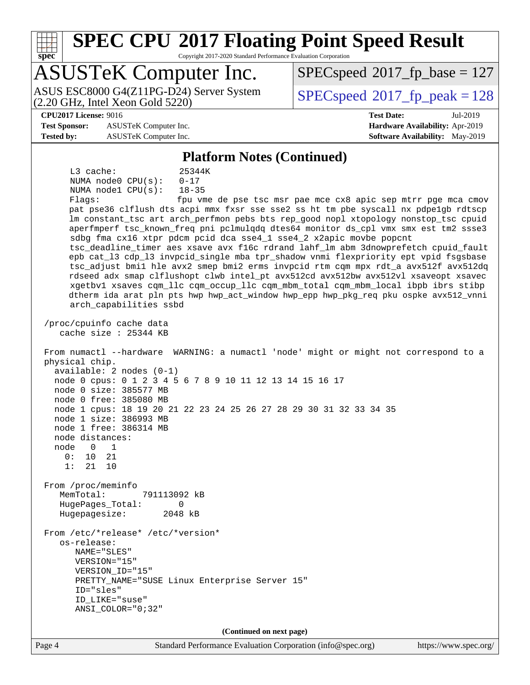

Copyright 2017-2020 Standard Performance Evaluation Corporation

### ASUSTeK Computer Inc.

(2.20 GHz, Intel Xeon Gold 5220) ASUS ESC8000 G4(Z11PG-D24) Server System  $SPECspeed@2017$  $SPECspeed@2017$  fp\_peak = 128

[SPECspeed](http://www.spec.org/auto/cpu2017/Docs/result-fields.html#SPECspeed2017fpbase)<sup>®</sup>2017 fp base = 127

#### **[CPU2017 License:](http://www.spec.org/auto/cpu2017/Docs/result-fields.html#CPU2017License)** 9016 **[Test Date:](http://www.spec.org/auto/cpu2017/Docs/result-fields.html#TestDate)** Jul-2019

**[Test Sponsor:](http://www.spec.org/auto/cpu2017/Docs/result-fields.html#TestSponsor)** ASUSTeK Computer Inc. **[Hardware Availability:](http://www.spec.org/auto/cpu2017/Docs/result-fields.html#HardwareAvailability)** Apr-2019 **[Tested by:](http://www.spec.org/auto/cpu2017/Docs/result-fields.html#Testedby)** ASUSTeK Computer Inc. **[Software Availability:](http://www.spec.org/auto/cpu2017/Docs/result-fields.html#SoftwareAvailability)** May-2019

#### **[Platform Notes \(Continued\)](http://www.spec.org/auto/cpu2017/Docs/result-fields.html#PlatformNotes)**

 L3 cache: 25344K NUMA node0 CPU(s): 0-17 NUMA node1 CPU(s): 18-35

Flags: fpu vme de pse tsc msr pae mce cx8 apic sep mtrr pge mca cmov pat pse36 clflush dts acpi mmx fxsr sse sse2 ss ht tm pbe syscall nx pdpe1gb rdtscp lm constant\_tsc art arch\_perfmon pebs bts rep\_good nopl xtopology nonstop\_tsc cpuid aperfmperf tsc\_known\_freq pni pclmulqdq dtes64 monitor ds\_cpl vmx smx est tm2 ssse3 sdbg fma cx16 xtpr pdcm pcid dca sse4\_1 sse4\_2 x2apic movbe popcnt tsc\_deadline\_timer aes xsave avx f16c rdrand lahf\_lm abm 3dnowprefetch cpuid\_fault epb cat\_l3 cdp\_l3 invpcid\_single mba tpr\_shadow vnmi flexpriority ept vpid fsgsbase tsc\_adjust bmi1 hle avx2 smep bmi2 erms invpcid rtm cqm mpx rdt\_a avx512f avx512dq rdseed adx smap clflushopt clwb intel\_pt avx512cd avx512bw avx512vl xsaveopt xsavec xgetbv1 xsaves cqm\_llc cqm\_occup\_llc cqm\_mbm\_total cqm\_mbm\_local ibpb ibrs stibp dtherm ida arat pln pts hwp hwp\_act\_window hwp\_epp hwp\_pkg\_req pku ospke avx512\_vnni arch\_capabilities ssbd

 /proc/cpuinfo cache data cache size : 25344 KB

 From numactl --hardware WARNING: a numactl 'node' might or might not correspond to a physical chip. available: 2 nodes (0-1) node 0 cpus: 0 1 2 3 4 5 6 7 8 9 10 11 12 13 14 15 16 17 node 0 size: 385577 MB node 0 free: 385080 MB node 1 cpus: 18 19 20 21 22 23 24 25 26 27 28 29 30 31 32 33 34 35 node 1 size: 386993 MB node 1 free: 386314 MB node distances: node 0 1 0: 10 21 1: 21 10 From /proc/meminfo MemTotal: 791113092 kB HugePages\_Total: 0 Hugepagesize: 2048 kB

 From /etc/\*release\* /etc/\*version\* os-release: NAME="SLES" VERSION="15" VERSION\_ID="15" PRETTY\_NAME="SUSE Linux Enterprise Server 15" ID="sles" ID\_LIKE="suse" ANSI\_COLOR="0;32"

**(Continued on next page)**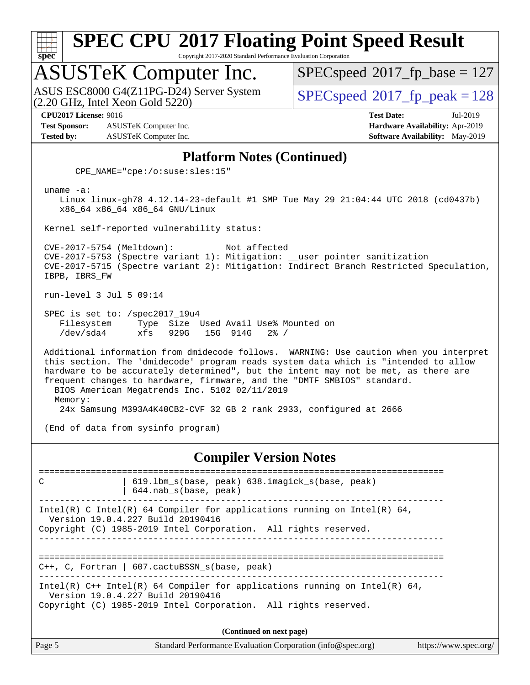

Copyright 2017-2020 Standard Performance Evaluation Corporation

# ASUSTeK Computer Inc.<br>ASUS ESC8000 G4(Z11PG-D24) Server System

 $(2.20 \text{ GHz}, \text{Intel Xeon}$  Gold  $5220)$ 

[SPECspeed](http://www.spec.org/auto/cpu2017/Docs/result-fields.html#SPECspeed2017fpbase)<sup>®</sup>2017 fp base = 127

[SPECspeed](http://www.spec.org/auto/cpu2017/Docs/result-fields.html#SPECspeed2017fppeak)<sup>®</sup>2017 fp peak = 128

**[Test Sponsor:](http://www.spec.org/auto/cpu2017/Docs/result-fields.html#TestSponsor)** ASUSTeK Computer Inc. **[Hardware Availability:](http://www.spec.org/auto/cpu2017/Docs/result-fields.html#HardwareAvailability)** Apr-2019 **[Tested by:](http://www.spec.org/auto/cpu2017/Docs/result-fields.html#Testedby)** ASUSTeK Computer Inc. **[Software Availability:](http://www.spec.org/auto/cpu2017/Docs/result-fields.html#SoftwareAvailability)** May-2019

**[CPU2017 License:](http://www.spec.org/auto/cpu2017/Docs/result-fields.html#CPU2017License)** 9016 **[Test Date:](http://www.spec.org/auto/cpu2017/Docs/result-fields.html#TestDate)** Jul-2019

#### **[Platform Notes \(Continued\)](http://www.spec.org/auto/cpu2017/Docs/result-fields.html#PlatformNotes)**

CPE\_NAME="cpe:/o:suse:sles:15"

uname -a:

 Linux linux-gh78 4.12.14-23-default #1 SMP Tue May 29 21:04:44 UTC 2018 (cd0437b) x86\_64 x86\_64 x86\_64 GNU/Linux

Kernel self-reported vulnerability status:

 CVE-2017-5754 (Meltdown): Not affected CVE-2017-5753 (Spectre variant 1): Mitigation: \_\_user pointer sanitization CVE-2017-5715 (Spectre variant 2): Mitigation: Indirect Branch Restricted Speculation, IBPB, IBRS\_FW

run-level 3 Jul 5 09:14

 SPEC is set to: /spec2017\_19u4 Filesystem Type Size Used Avail Use% Mounted on /dev/sda4 xfs 929G 15G 914G 2% /

 Additional information from dmidecode follows. WARNING: Use caution when you interpret this section. The 'dmidecode' program reads system data which is "intended to allow hardware to be accurately determined", but the intent may not be met, as there are frequent changes to hardware, firmware, and the "DMTF SMBIOS" standard. BIOS American Megatrends Inc. 5102 02/11/2019 Memory:

24x Samsung M393A4K40CB2-CVF 32 GB 2 rank 2933, configured at 2666

(End of data from sysinfo program)

#### **[Compiler Version Notes](http://www.spec.org/auto/cpu2017/Docs/result-fields.html#CompilerVersionNotes)**

============================================================================== C | 619.lbm\_s(base, peak) 638.imagick\_s(base, peak) | 644.nab\_s(base, peak) ------------------------------------------------------------------------------ Intel(R) C Intel(R) 64 Compiler for applications running on Intel(R)  $64$ , Version 19.0.4.227 Build 20190416 Copyright (C) 1985-2019 Intel Corporation. All rights reserved. ------------------------------------------------------------------------------ ============================================================================== C++, C, Fortran | 607.cactuBSSN\_s(base, peak) ------------------------------------------------------------------------------ Intel(R) C++ Intel(R) 64 Compiler for applications running on Intel(R) 64, Version 19.0.4.227 Build 20190416 Copyright (C) 1985-2019 Intel Corporation. All rights reserved. **(Continued on next page)**

Page 5 Standard Performance Evaluation Corporation [\(info@spec.org\)](mailto:info@spec.org) <https://www.spec.org/>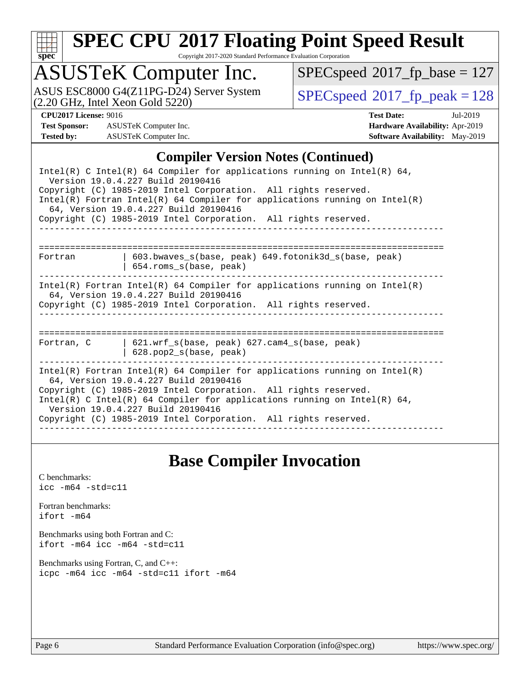

Copyright 2017-2020 Standard Performance Evaluation Corporation

### ASUSTeK Computer Inc.

(2.20 GHz, Intel Xeon Gold 5220) ASUS ESC8000 G4(Z11PG-D24) Server System  $SPECspeed@2017_fp\_peak = 128$  $SPECspeed@2017_fp\_peak = 128$ 

 $SPECspeed^{\circledcirc}2017_fp\_base = 127$  $SPECspeed^{\circledcirc}2017_fp\_base = 127$ 

**[Test Sponsor:](http://www.spec.org/auto/cpu2017/Docs/result-fields.html#TestSponsor)** ASUSTeK Computer Inc. **[Hardware Availability:](http://www.spec.org/auto/cpu2017/Docs/result-fields.html#HardwareAvailability)** Apr-2019 **[Tested by:](http://www.spec.org/auto/cpu2017/Docs/result-fields.html#Testedby)** ASUSTeK Computer Inc. **[Software Availability:](http://www.spec.org/auto/cpu2017/Docs/result-fields.html#SoftwareAvailability)** May-2019

**[CPU2017 License:](http://www.spec.org/auto/cpu2017/Docs/result-fields.html#CPU2017License)** 9016 **[Test Date:](http://www.spec.org/auto/cpu2017/Docs/result-fields.html#TestDate)** Jul-2019

#### **[Compiler Version Notes \(Continued\)](http://www.spec.org/auto/cpu2017/Docs/result-fields.html#CompilerVersionNotes)**

#### **[Base Compiler Invocation](http://www.spec.org/auto/cpu2017/Docs/result-fields.html#BaseCompilerInvocation)**

[C benchmarks](http://www.spec.org/auto/cpu2017/Docs/result-fields.html#Cbenchmarks): [icc -m64 -std=c11](http://www.spec.org/cpu2017/results/res2019q3/cpu2017-20190709-16047.flags.html#user_CCbase_intel_icc_64bit_c11_33ee0cdaae7deeeab2a9725423ba97205ce30f63b9926c2519791662299b76a0318f32ddfffdc46587804de3178b4f9328c46fa7c2b0cd779d7a61945c91cd35)

[Fortran benchmarks](http://www.spec.org/auto/cpu2017/Docs/result-fields.html#Fortranbenchmarks): [ifort -m64](http://www.spec.org/cpu2017/results/res2019q3/cpu2017-20190709-16047.flags.html#user_FCbase_intel_ifort_64bit_24f2bb282fbaeffd6157abe4f878425411749daecae9a33200eee2bee2fe76f3b89351d69a8130dd5949958ce389cf37ff59a95e7a40d588e8d3a57e0c3fd751)

[Benchmarks using both Fortran and C](http://www.spec.org/auto/cpu2017/Docs/result-fields.html#BenchmarksusingbothFortranandC): [ifort -m64](http://www.spec.org/cpu2017/results/res2019q3/cpu2017-20190709-16047.flags.html#user_CC_FCbase_intel_ifort_64bit_24f2bb282fbaeffd6157abe4f878425411749daecae9a33200eee2bee2fe76f3b89351d69a8130dd5949958ce389cf37ff59a95e7a40d588e8d3a57e0c3fd751) [icc -m64 -std=c11](http://www.spec.org/cpu2017/results/res2019q3/cpu2017-20190709-16047.flags.html#user_CC_FCbase_intel_icc_64bit_c11_33ee0cdaae7deeeab2a9725423ba97205ce30f63b9926c2519791662299b76a0318f32ddfffdc46587804de3178b4f9328c46fa7c2b0cd779d7a61945c91cd35)

[Benchmarks using Fortran, C, and C++:](http://www.spec.org/auto/cpu2017/Docs/result-fields.html#BenchmarksusingFortranCandCXX) [icpc -m64](http://www.spec.org/cpu2017/results/res2019q3/cpu2017-20190709-16047.flags.html#user_CC_CXX_FCbase_intel_icpc_64bit_4ecb2543ae3f1412ef961e0650ca070fec7b7afdcd6ed48761b84423119d1bf6bdf5cad15b44d48e7256388bc77273b966e5eb805aefd121eb22e9299b2ec9d9) [icc -m64 -std=c11](http://www.spec.org/cpu2017/results/res2019q3/cpu2017-20190709-16047.flags.html#user_CC_CXX_FCbase_intel_icc_64bit_c11_33ee0cdaae7deeeab2a9725423ba97205ce30f63b9926c2519791662299b76a0318f32ddfffdc46587804de3178b4f9328c46fa7c2b0cd779d7a61945c91cd35) [ifort -m64](http://www.spec.org/cpu2017/results/res2019q3/cpu2017-20190709-16047.flags.html#user_CC_CXX_FCbase_intel_ifort_64bit_24f2bb282fbaeffd6157abe4f878425411749daecae9a33200eee2bee2fe76f3b89351d69a8130dd5949958ce389cf37ff59a95e7a40d588e8d3a57e0c3fd751)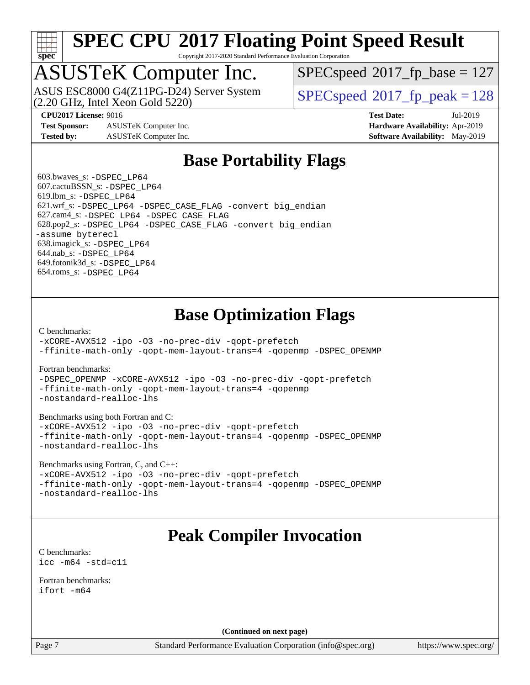

Copyright 2017-2020 Standard Performance Evaluation Corporation

### ASUSTeK Computer Inc.

(2.20 GHz, Intel Xeon Gold 5220) ASUS ESC8000 G4(Z11PG-D24) Server System  $SPECspeed@2017$  $SPECspeed@2017$  fp\_peak = 128

[SPECspeed](http://www.spec.org/auto/cpu2017/Docs/result-fields.html#SPECspeed2017fpbase)<sup>®</sup>2017 fp base = 127

**[Test Sponsor:](http://www.spec.org/auto/cpu2017/Docs/result-fields.html#TestSponsor)** ASUSTeK Computer Inc. **[Hardware Availability:](http://www.spec.org/auto/cpu2017/Docs/result-fields.html#HardwareAvailability)** Apr-2019 **[Tested by:](http://www.spec.org/auto/cpu2017/Docs/result-fields.html#Testedby)** ASUSTeK Computer Inc. **[Software Availability:](http://www.spec.org/auto/cpu2017/Docs/result-fields.html#SoftwareAvailability)** May-2019

**[CPU2017 License:](http://www.spec.org/auto/cpu2017/Docs/result-fields.html#CPU2017License)** 9016 **[Test Date:](http://www.spec.org/auto/cpu2017/Docs/result-fields.html#TestDate)** Jul-2019

#### **[Base Portability Flags](http://www.spec.org/auto/cpu2017/Docs/result-fields.html#BasePortabilityFlags)**

 603.bwaves\_s: [-DSPEC\\_LP64](http://www.spec.org/cpu2017/results/res2019q3/cpu2017-20190709-16047.flags.html#suite_basePORTABILITY603_bwaves_s_DSPEC_LP64) 607.cactuBSSN\_s: [-DSPEC\\_LP64](http://www.spec.org/cpu2017/results/res2019q3/cpu2017-20190709-16047.flags.html#suite_basePORTABILITY607_cactuBSSN_s_DSPEC_LP64) 619.lbm\_s: [-DSPEC\\_LP64](http://www.spec.org/cpu2017/results/res2019q3/cpu2017-20190709-16047.flags.html#suite_basePORTABILITY619_lbm_s_DSPEC_LP64) 621.wrf\_s: [-DSPEC\\_LP64](http://www.spec.org/cpu2017/results/res2019q3/cpu2017-20190709-16047.flags.html#suite_basePORTABILITY621_wrf_s_DSPEC_LP64) [-DSPEC\\_CASE\\_FLAG](http://www.spec.org/cpu2017/results/res2019q3/cpu2017-20190709-16047.flags.html#b621.wrf_s_baseCPORTABILITY_DSPEC_CASE_FLAG) [-convert big\\_endian](http://www.spec.org/cpu2017/results/res2019q3/cpu2017-20190709-16047.flags.html#user_baseFPORTABILITY621_wrf_s_convert_big_endian_c3194028bc08c63ac5d04de18c48ce6d347e4e562e8892b8bdbdc0214820426deb8554edfa529a3fb25a586e65a3d812c835984020483e7e73212c4d31a38223) 627.cam4\_s: [-DSPEC\\_LP64](http://www.spec.org/cpu2017/results/res2019q3/cpu2017-20190709-16047.flags.html#suite_basePORTABILITY627_cam4_s_DSPEC_LP64) [-DSPEC\\_CASE\\_FLAG](http://www.spec.org/cpu2017/results/res2019q3/cpu2017-20190709-16047.flags.html#b627.cam4_s_baseCPORTABILITY_DSPEC_CASE_FLAG) 628.pop2\_s: [-DSPEC\\_LP64](http://www.spec.org/cpu2017/results/res2019q3/cpu2017-20190709-16047.flags.html#suite_basePORTABILITY628_pop2_s_DSPEC_LP64) [-DSPEC\\_CASE\\_FLAG](http://www.spec.org/cpu2017/results/res2019q3/cpu2017-20190709-16047.flags.html#b628.pop2_s_baseCPORTABILITY_DSPEC_CASE_FLAG) [-convert big\\_endian](http://www.spec.org/cpu2017/results/res2019q3/cpu2017-20190709-16047.flags.html#user_baseFPORTABILITY628_pop2_s_convert_big_endian_c3194028bc08c63ac5d04de18c48ce6d347e4e562e8892b8bdbdc0214820426deb8554edfa529a3fb25a586e65a3d812c835984020483e7e73212c4d31a38223) [-assume byterecl](http://www.spec.org/cpu2017/results/res2019q3/cpu2017-20190709-16047.flags.html#user_baseFPORTABILITY628_pop2_s_assume_byterecl_7e47d18b9513cf18525430bbf0f2177aa9bf368bc7a059c09b2c06a34b53bd3447c950d3f8d6c70e3faf3a05c8557d66a5798b567902e8849adc142926523472) 638.imagick\_s: [-DSPEC\\_LP64](http://www.spec.org/cpu2017/results/res2019q3/cpu2017-20190709-16047.flags.html#suite_basePORTABILITY638_imagick_s_DSPEC_LP64) 644.nab\_s: [-DSPEC\\_LP64](http://www.spec.org/cpu2017/results/res2019q3/cpu2017-20190709-16047.flags.html#suite_basePORTABILITY644_nab_s_DSPEC_LP64) 649.fotonik3d\_s: [-DSPEC\\_LP64](http://www.spec.org/cpu2017/results/res2019q3/cpu2017-20190709-16047.flags.html#suite_basePORTABILITY649_fotonik3d_s_DSPEC_LP64) 654.roms\_s: [-DSPEC\\_LP64](http://www.spec.org/cpu2017/results/res2019q3/cpu2017-20190709-16047.flags.html#suite_basePORTABILITY654_roms_s_DSPEC_LP64)

#### **[Base Optimization Flags](http://www.spec.org/auto/cpu2017/Docs/result-fields.html#BaseOptimizationFlags)**

[C benchmarks](http://www.spec.org/auto/cpu2017/Docs/result-fields.html#Cbenchmarks):

[-xCORE-AVX512](http://www.spec.org/cpu2017/results/res2019q3/cpu2017-20190709-16047.flags.html#user_CCbase_f-xCORE-AVX512) [-ipo](http://www.spec.org/cpu2017/results/res2019q3/cpu2017-20190709-16047.flags.html#user_CCbase_f-ipo) [-O3](http://www.spec.org/cpu2017/results/res2019q3/cpu2017-20190709-16047.flags.html#user_CCbase_f-O3) [-no-prec-div](http://www.spec.org/cpu2017/results/res2019q3/cpu2017-20190709-16047.flags.html#user_CCbase_f-no-prec-div) [-qopt-prefetch](http://www.spec.org/cpu2017/results/res2019q3/cpu2017-20190709-16047.flags.html#user_CCbase_f-qopt-prefetch) [-ffinite-math-only](http://www.spec.org/cpu2017/results/res2019q3/cpu2017-20190709-16047.flags.html#user_CCbase_f_finite_math_only_cb91587bd2077682c4b38af759c288ed7c732db004271a9512da14a4f8007909a5f1427ecbf1a0fb78ff2a814402c6114ac565ca162485bbcae155b5e4258871) [-qopt-mem-layout-trans=4](http://www.spec.org/cpu2017/results/res2019q3/cpu2017-20190709-16047.flags.html#user_CCbase_f-qopt-mem-layout-trans_fa39e755916c150a61361b7846f310bcdf6f04e385ef281cadf3647acec3f0ae266d1a1d22d972a7087a248fd4e6ca390a3634700869573d231a252c784941a8) [-qopenmp](http://www.spec.org/cpu2017/results/res2019q3/cpu2017-20190709-16047.flags.html#user_CCbase_qopenmp_16be0c44f24f464004c6784a7acb94aca937f053568ce72f94b139a11c7c168634a55f6653758ddd83bcf7b8463e8028bb0b48b77bcddc6b78d5d95bb1df2967) [-DSPEC\\_OPENMP](http://www.spec.org/cpu2017/results/res2019q3/cpu2017-20190709-16047.flags.html#suite_CCbase_DSPEC_OPENMP)

[Fortran benchmarks](http://www.spec.org/auto/cpu2017/Docs/result-fields.html#Fortranbenchmarks):

[-DSPEC\\_OPENMP](http://www.spec.org/cpu2017/results/res2019q3/cpu2017-20190709-16047.flags.html#suite_FCbase_DSPEC_OPENMP) [-xCORE-AVX512](http://www.spec.org/cpu2017/results/res2019q3/cpu2017-20190709-16047.flags.html#user_FCbase_f-xCORE-AVX512) [-ipo](http://www.spec.org/cpu2017/results/res2019q3/cpu2017-20190709-16047.flags.html#user_FCbase_f-ipo) [-O3](http://www.spec.org/cpu2017/results/res2019q3/cpu2017-20190709-16047.flags.html#user_FCbase_f-O3) [-no-prec-div](http://www.spec.org/cpu2017/results/res2019q3/cpu2017-20190709-16047.flags.html#user_FCbase_f-no-prec-div) [-qopt-prefetch](http://www.spec.org/cpu2017/results/res2019q3/cpu2017-20190709-16047.flags.html#user_FCbase_f-qopt-prefetch) [-ffinite-math-only](http://www.spec.org/cpu2017/results/res2019q3/cpu2017-20190709-16047.flags.html#user_FCbase_f_finite_math_only_cb91587bd2077682c4b38af759c288ed7c732db004271a9512da14a4f8007909a5f1427ecbf1a0fb78ff2a814402c6114ac565ca162485bbcae155b5e4258871) [-qopt-mem-layout-trans=4](http://www.spec.org/cpu2017/results/res2019q3/cpu2017-20190709-16047.flags.html#user_FCbase_f-qopt-mem-layout-trans_fa39e755916c150a61361b7846f310bcdf6f04e385ef281cadf3647acec3f0ae266d1a1d22d972a7087a248fd4e6ca390a3634700869573d231a252c784941a8) [-qopenmp](http://www.spec.org/cpu2017/results/res2019q3/cpu2017-20190709-16047.flags.html#user_FCbase_qopenmp_16be0c44f24f464004c6784a7acb94aca937f053568ce72f94b139a11c7c168634a55f6653758ddd83bcf7b8463e8028bb0b48b77bcddc6b78d5d95bb1df2967) [-nostandard-realloc-lhs](http://www.spec.org/cpu2017/results/res2019q3/cpu2017-20190709-16047.flags.html#user_FCbase_f_2003_std_realloc_82b4557e90729c0f113870c07e44d33d6f5a304b4f63d4c15d2d0f1fab99f5daaed73bdb9275d9ae411527f28b936061aa8b9c8f2d63842963b95c9dd6426b8a)

[Benchmarks using both Fortran and C](http://www.spec.org/auto/cpu2017/Docs/result-fields.html#BenchmarksusingbothFortranandC):

[-xCORE-AVX512](http://www.spec.org/cpu2017/results/res2019q3/cpu2017-20190709-16047.flags.html#user_CC_FCbase_f-xCORE-AVX512) [-ipo](http://www.spec.org/cpu2017/results/res2019q3/cpu2017-20190709-16047.flags.html#user_CC_FCbase_f-ipo) [-O3](http://www.spec.org/cpu2017/results/res2019q3/cpu2017-20190709-16047.flags.html#user_CC_FCbase_f-O3) [-no-prec-div](http://www.spec.org/cpu2017/results/res2019q3/cpu2017-20190709-16047.flags.html#user_CC_FCbase_f-no-prec-div) [-qopt-prefetch](http://www.spec.org/cpu2017/results/res2019q3/cpu2017-20190709-16047.flags.html#user_CC_FCbase_f-qopt-prefetch) [-ffinite-math-only](http://www.spec.org/cpu2017/results/res2019q3/cpu2017-20190709-16047.flags.html#user_CC_FCbase_f_finite_math_only_cb91587bd2077682c4b38af759c288ed7c732db004271a9512da14a4f8007909a5f1427ecbf1a0fb78ff2a814402c6114ac565ca162485bbcae155b5e4258871) [-qopt-mem-layout-trans=4](http://www.spec.org/cpu2017/results/res2019q3/cpu2017-20190709-16047.flags.html#user_CC_FCbase_f-qopt-mem-layout-trans_fa39e755916c150a61361b7846f310bcdf6f04e385ef281cadf3647acec3f0ae266d1a1d22d972a7087a248fd4e6ca390a3634700869573d231a252c784941a8) [-qopenmp](http://www.spec.org/cpu2017/results/res2019q3/cpu2017-20190709-16047.flags.html#user_CC_FCbase_qopenmp_16be0c44f24f464004c6784a7acb94aca937f053568ce72f94b139a11c7c168634a55f6653758ddd83bcf7b8463e8028bb0b48b77bcddc6b78d5d95bb1df2967) [-DSPEC\\_OPENMP](http://www.spec.org/cpu2017/results/res2019q3/cpu2017-20190709-16047.flags.html#suite_CC_FCbase_DSPEC_OPENMP) [-nostandard-realloc-lhs](http://www.spec.org/cpu2017/results/res2019q3/cpu2017-20190709-16047.flags.html#user_CC_FCbase_f_2003_std_realloc_82b4557e90729c0f113870c07e44d33d6f5a304b4f63d4c15d2d0f1fab99f5daaed73bdb9275d9ae411527f28b936061aa8b9c8f2d63842963b95c9dd6426b8a)

[Benchmarks using Fortran, C, and C++:](http://www.spec.org/auto/cpu2017/Docs/result-fields.html#BenchmarksusingFortranCandCXX)

[-xCORE-AVX512](http://www.spec.org/cpu2017/results/res2019q3/cpu2017-20190709-16047.flags.html#user_CC_CXX_FCbase_f-xCORE-AVX512) [-ipo](http://www.spec.org/cpu2017/results/res2019q3/cpu2017-20190709-16047.flags.html#user_CC_CXX_FCbase_f-ipo) [-O3](http://www.spec.org/cpu2017/results/res2019q3/cpu2017-20190709-16047.flags.html#user_CC_CXX_FCbase_f-O3) [-no-prec-div](http://www.spec.org/cpu2017/results/res2019q3/cpu2017-20190709-16047.flags.html#user_CC_CXX_FCbase_f-no-prec-div) [-qopt-prefetch](http://www.spec.org/cpu2017/results/res2019q3/cpu2017-20190709-16047.flags.html#user_CC_CXX_FCbase_f-qopt-prefetch) [-ffinite-math-only](http://www.spec.org/cpu2017/results/res2019q3/cpu2017-20190709-16047.flags.html#user_CC_CXX_FCbase_f_finite_math_only_cb91587bd2077682c4b38af759c288ed7c732db004271a9512da14a4f8007909a5f1427ecbf1a0fb78ff2a814402c6114ac565ca162485bbcae155b5e4258871) [-qopt-mem-layout-trans=4](http://www.spec.org/cpu2017/results/res2019q3/cpu2017-20190709-16047.flags.html#user_CC_CXX_FCbase_f-qopt-mem-layout-trans_fa39e755916c150a61361b7846f310bcdf6f04e385ef281cadf3647acec3f0ae266d1a1d22d972a7087a248fd4e6ca390a3634700869573d231a252c784941a8) [-qopenmp](http://www.spec.org/cpu2017/results/res2019q3/cpu2017-20190709-16047.flags.html#user_CC_CXX_FCbase_qopenmp_16be0c44f24f464004c6784a7acb94aca937f053568ce72f94b139a11c7c168634a55f6653758ddd83bcf7b8463e8028bb0b48b77bcddc6b78d5d95bb1df2967) [-DSPEC\\_OPENMP](http://www.spec.org/cpu2017/results/res2019q3/cpu2017-20190709-16047.flags.html#suite_CC_CXX_FCbase_DSPEC_OPENMP) [-nostandard-realloc-lhs](http://www.spec.org/cpu2017/results/res2019q3/cpu2017-20190709-16047.flags.html#user_CC_CXX_FCbase_f_2003_std_realloc_82b4557e90729c0f113870c07e44d33d6f5a304b4f63d4c15d2d0f1fab99f5daaed73bdb9275d9ae411527f28b936061aa8b9c8f2d63842963b95c9dd6426b8a)

#### **[Peak Compiler Invocation](http://www.spec.org/auto/cpu2017/Docs/result-fields.html#PeakCompilerInvocation)**

[C benchmarks](http://www.spec.org/auto/cpu2017/Docs/result-fields.html#Cbenchmarks): [icc -m64 -std=c11](http://www.spec.org/cpu2017/results/res2019q3/cpu2017-20190709-16047.flags.html#user_CCpeak_intel_icc_64bit_c11_33ee0cdaae7deeeab2a9725423ba97205ce30f63b9926c2519791662299b76a0318f32ddfffdc46587804de3178b4f9328c46fa7c2b0cd779d7a61945c91cd35)

[Fortran benchmarks](http://www.spec.org/auto/cpu2017/Docs/result-fields.html#Fortranbenchmarks): [ifort -m64](http://www.spec.org/cpu2017/results/res2019q3/cpu2017-20190709-16047.flags.html#user_FCpeak_intel_ifort_64bit_24f2bb282fbaeffd6157abe4f878425411749daecae9a33200eee2bee2fe76f3b89351d69a8130dd5949958ce389cf37ff59a95e7a40d588e8d3a57e0c3fd751)

**(Continued on next page)**

Page 7 Standard Performance Evaluation Corporation [\(info@spec.org\)](mailto:info@spec.org) <https://www.spec.org/>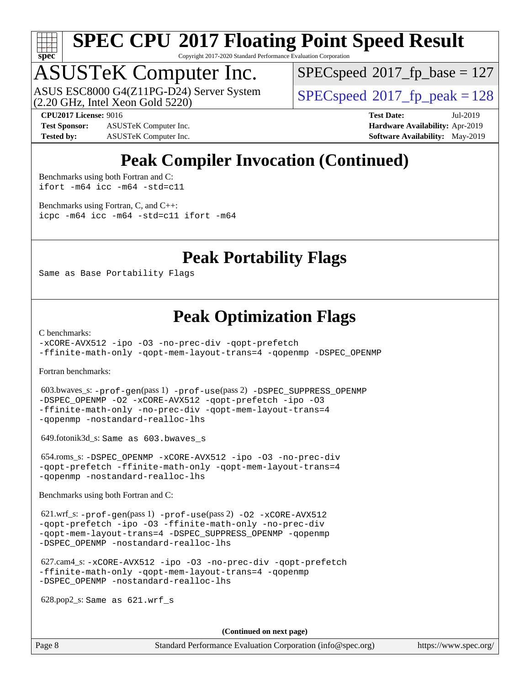

Copyright 2017-2020 Standard Performance Evaluation Corporation

### ASUSTeK Computer Inc.

(2.20 GHz, Intel Xeon Gold 5220) ASUS ESC8000 G4(Z11PG-D24) Server System  $SPECspeed@2017$  $SPECspeed@2017$  fp\_peak = 128

[SPECspeed](http://www.spec.org/auto/cpu2017/Docs/result-fields.html#SPECspeed2017fpbase)<sup>®</sup>2017 fp base = 127

**[Test Sponsor:](http://www.spec.org/auto/cpu2017/Docs/result-fields.html#TestSponsor)** ASUSTeK Computer Inc. **[Hardware Availability:](http://www.spec.org/auto/cpu2017/Docs/result-fields.html#HardwareAvailability)** Apr-2019 **[Tested by:](http://www.spec.org/auto/cpu2017/Docs/result-fields.html#Testedby)** ASUSTeK Computer Inc. **[Software Availability:](http://www.spec.org/auto/cpu2017/Docs/result-fields.html#SoftwareAvailability)** May-2019

**[CPU2017 License:](http://www.spec.org/auto/cpu2017/Docs/result-fields.html#CPU2017License)** 9016 **[Test Date:](http://www.spec.org/auto/cpu2017/Docs/result-fields.html#TestDate)** Jul-2019

### **[Peak Compiler Invocation \(Continued\)](http://www.spec.org/auto/cpu2017/Docs/result-fields.html#PeakCompilerInvocation)**

[Benchmarks using both Fortran and C](http://www.spec.org/auto/cpu2017/Docs/result-fields.html#BenchmarksusingbothFortranandC): [ifort -m64](http://www.spec.org/cpu2017/results/res2019q3/cpu2017-20190709-16047.flags.html#user_CC_FCpeak_intel_ifort_64bit_24f2bb282fbaeffd6157abe4f878425411749daecae9a33200eee2bee2fe76f3b89351d69a8130dd5949958ce389cf37ff59a95e7a40d588e8d3a57e0c3fd751) [icc -m64 -std=c11](http://www.spec.org/cpu2017/results/res2019q3/cpu2017-20190709-16047.flags.html#user_CC_FCpeak_intel_icc_64bit_c11_33ee0cdaae7deeeab2a9725423ba97205ce30f63b9926c2519791662299b76a0318f32ddfffdc46587804de3178b4f9328c46fa7c2b0cd779d7a61945c91cd35)

[Benchmarks using Fortran, C, and C++:](http://www.spec.org/auto/cpu2017/Docs/result-fields.html#BenchmarksusingFortranCandCXX) [icpc -m64](http://www.spec.org/cpu2017/results/res2019q3/cpu2017-20190709-16047.flags.html#user_CC_CXX_FCpeak_intel_icpc_64bit_4ecb2543ae3f1412ef961e0650ca070fec7b7afdcd6ed48761b84423119d1bf6bdf5cad15b44d48e7256388bc77273b966e5eb805aefd121eb22e9299b2ec9d9) [icc -m64 -std=c11](http://www.spec.org/cpu2017/results/res2019q3/cpu2017-20190709-16047.flags.html#user_CC_CXX_FCpeak_intel_icc_64bit_c11_33ee0cdaae7deeeab2a9725423ba97205ce30f63b9926c2519791662299b76a0318f32ddfffdc46587804de3178b4f9328c46fa7c2b0cd779d7a61945c91cd35) [ifort -m64](http://www.spec.org/cpu2017/results/res2019q3/cpu2017-20190709-16047.flags.html#user_CC_CXX_FCpeak_intel_ifort_64bit_24f2bb282fbaeffd6157abe4f878425411749daecae9a33200eee2bee2fe76f3b89351d69a8130dd5949958ce389cf37ff59a95e7a40d588e8d3a57e0c3fd751)

#### **[Peak Portability Flags](http://www.spec.org/auto/cpu2017/Docs/result-fields.html#PeakPortabilityFlags)**

Same as Base Portability Flags

#### **[Peak Optimization Flags](http://www.spec.org/auto/cpu2017/Docs/result-fields.html#PeakOptimizationFlags)**

[C benchmarks](http://www.spec.org/auto/cpu2017/Docs/result-fields.html#Cbenchmarks):

[-xCORE-AVX512](http://www.spec.org/cpu2017/results/res2019q3/cpu2017-20190709-16047.flags.html#user_CCpeak_f-xCORE-AVX512) [-ipo](http://www.spec.org/cpu2017/results/res2019q3/cpu2017-20190709-16047.flags.html#user_CCpeak_f-ipo) [-O3](http://www.spec.org/cpu2017/results/res2019q3/cpu2017-20190709-16047.flags.html#user_CCpeak_f-O3) [-no-prec-div](http://www.spec.org/cpu2017/results/res2019q3/cpu2017-20190709-16047.flags.html#user_CCpeak_f-no-prec-div) [-qopt-prefetch](http://www.spec.org/cpu2017/results/res2019q3/cpu2017-20190709-16047.flags.html#user_CCpeak_f-qopt-prefetch) [-ffinite-math-only](http://www.spec.org/cpu2017/results/res2019q3/cpu2017-20190709-16047.flags.html#user_CCpeak_f_finite_math_only_cb91587bd2077682c4b38af759c288ed7c732db004271a9512da14a4f8007909a5f1427ecbf1a0fb78ff2a814402c6114ac565ca162485bbcae155b5e4258871) [-qopt-mem-layout-trans=4](http://www.spec.org/cpu2017/results/res2019q3/cpu2017-20190709-16047.flags.html#user_CCpeak_f-qopt-mem-layout-trans_fa39e755916c150a61361b7846f310bcdf6f04e385ef281cadf3647acec3f0ae266d1a1d22d972a7087a248fd4e6ca390a3634700869573d231a252c784941a8) [-qopenmp](http://www.spec.org/cpu2017/results/res2019q3/cpu2017-20190709-16047.flags.html#user_CCpeak_qopenmp_16be0c44f24f464004c6784a7acb94aca937f053568ce72f94b139a11c7c168634a55f6653758ddd83bcf7b8463e8028bb0b48b77bcddc6b78d5d95bb1df2967) [-DSPEC\\_OPENMP](http://www.spec.org/cpu2017/results/res2019q3/cpu2017-20190709-16047.flags.html#suite_CCpeak_DSPEC_OPENMP)

[Fortran benchmarks](http://www.spec.org/auto/cpu2017/Docs/result-fields.html#Fortranbenchmarks):

 603.bwaves\_s: [-prof-gen](http://www.spec.org/cpu2017/results/res2019q3/cpu2017-20190709-16047.flags.html#user_peakPASS1_FFLAGSPASS1_LDFLAGS603_bwaves_s_prof_gen_5aa4926d6013ddb2a31985c654b3eb18169fc0c6952a63635c234f711e6e63dd76e94ad52365559451ec499a2cdb89e4dc58ba4c67ef54ca681ffbe1461d6b36)(pass 1) [-prof-use](http://www.spec.org/cpu2017/results/res2019q3/cpu2017-20190709-16047.flags.html#user_peakPASS2_FFLAGSPASS2_LDFLAGS603_bwaves_s_prof_use_1a21ceae95f36a2b53c25747139a6c16ca95bd9def2a207b4f0849963b97e94f5260e30a0c64f4bb623698870e679ca08317ef8150905d41bd88c6f78df73f19)(pass 2) [-DSPEC\\_SUPPRESS\\_OPENMP](http://www.spec.org/cpu2017/results/res2019q3/cpu2017-20190709-16047.flags.html#suite_peakPASS1_FOPTIMIZE603_bwaves_s_DSPEC_SUPPRESS_OPENMP) [-DSPEC\\_OPENMP](http://www.spec.org/cpu2017/results/res2019q3/cpu2017-20190709-16047.flags.html#suite_peakPASS2_FOPTIMIZE603_bwaves_s_DSPEC_OPENMP) [-O2](http://www.spec.org/cpu2017/results/res2019q3/cpu2017-20190709-16047.flags.html#user_peakPASS1_FOPTIMIZE603_bwaves_s_f-O2) [-xCORE-AVX512](http://www.spec.org/cpu2017/results/res2019q3/cpu2017-20190709-16047.flags.html#user_peakPASS2_FOPTIMIZE603_bwaves_s_f-xCORE-AVX512) [-qopt-prefetch](http://www.spec.org/cpu2017/results/res2019q3/cpu2017-20190709-16047.flags.html#user_peakPASS1_FOPTIMIZEPASS2_FOPTIMIZE603_bwaves_s_f-qopt-prefetch) [-ipo](http://www.spec.org/cpu2017/results/res2019q3/cpu2017-20190709-16047.flags.html#user_peakPASS2_FOPTIMIZE603_bwaves_s_f-ipo) [-O3](http://www.spec.org/cpu2017/results/res2019q3/cpu2017-20190709-16047.flags.html#user_peakPASS2_FOPTIMIZE603_bwaves_s_f-O3) [-ffinite-math-only](http://www.spec.org/cpu2017/results/res2019q3/cpu2017-20190709-16047.flags.html#user_peakPASS1_FOPTIMIZEPASS2_FOPTIMIZE603_bwaves_s_f_finite_math_only_cb91587bd2077682c4b38af759c288ed7c732db004271a9512da14a4f8007909a5f1427ecbf1a0fb78ff2a814402c6114ac565ca162485bbcae155b5e4258871) [-no-prec-div](http://www.spec.org/cpu2017/results/res2019q3/cpu2017-20190709-16047.flags.html#user_peakPASS2_FOPTIMIZE603_bwaves_s_f-no-prec-div) [-qopt-mem-layout-trans=4](http://www.spec.org/cpu2017/results/res2019q3/cpu2017-20190709-16047.flags.html#user_peakPASS1_FOPTIMIZEPASS2_FOPTIMIZE603_bwaves_s_f-qopt-mem-layout-trans_fa39e755916c150a61361b7846f310bcdf6f04e385ef281cadf3647acec3f0ae266d1a1d22d972a7087a248fd4e6ca390a3634700869573d231a252c784941a8) [-qopenmp](http://www.spec.org/cpu2017/results/res2019q3/cpu2017-20190709-16047.flags.html#user_peakPASS2_FOPTIMIZE603_bwaves_s_qopenmp_16be0c44f24f464004c6784a7acb94aca937f053568ce72f94b139a11c7c168634a55f6653758ddd83bcf7b8463e8028bb0b48b77bcddc6b78d5d95bb1df2967) [-nostandard-realloc-lhs](http://www.spec.org/cpu2017/results/res2019q3/cpu2017-20190709-16047.flags.html#user_peakEXTRA_FOPTIMIZE603_bwaves_s_f_2003_std_realloc_82b4557e90729c0f113870c07e44d33d6f5a304b4f63d4c15d2d0f1fab99f5daaed73bdb9275d9ae411527f28b936061aa8b9c8f2d63842963b95c9dd6426b8a)

649.fotonik3d\_s: Same as 603.bwaves\_s

 654.roms\_s: [-DSPEC\\_OPENMP](http://www.spec.org/cpu2017/results/res2019q3/cpu2017-20190709-16047.flags.html#suite_peakFOPTIMIZE654_roms_s_DSPEC_OPENMP) [-xCORE-AVX512](http://www.spec.org/cpu2017/results/res2019q3/cpu2017-20190709-16047.flags.html#user_peakFOPTIMIZE654_roms_s_f-xCORE-AVX512) [-ipo](http://www.spec.org/cpu2017/results/res2019q3/cpu2017-20190709-16047.flags.html#user_peakFOPTIMIZE654_roms_s_f-ipo) [-O3](http://www.spec.org/cpu2017/results/res2019q3/cpu2017-20190709-16047.flags.html#user_peakFOPTIMIZE654_roms_s_f-O3) [-no-prec-div](http://www.spec.org/cpu2017/results/res2019q3/cpu2017-20190709-16047.flags.html#user_peakFOPTIMIZE654_roms_s_f-no-prec-div) [-qopt-prefetch](http://www.spec.org/cpu2017/results/res2019q3/cpu2017-20190709-16047.flags.html#user_peakFOPTIMIZE654_roms_s_f-qopt-prefetch) [-ffinite-math-only](http://www.spec.org/cpu2017/results/res2019q3/cpu2017-20190709-16047.flags.html#user_peakFOPTIMIZE654_roms_s_f_finite_math_only_cb91587bd2077682c4b38af759c288ed7c732db004271a9512da14a4f8007909a5f1427ecbf1a0fb78ff2a814402c6114ac565ca162485bbcae155b5e4258871) [-qopt-mem-layout-trans=4](http://www.spec.org/cpu2017/results/res2019q3/cpu2017-20190709-16047.flags.html#user_peakFOPTIMIZE654_roms_s_f-qopt-mem-layout-trans_fa39e755916c150a61361b7846f310bcdf6f04e385ef281cadf3647acec3f0ae266d1a1d22d972a7087a248fd4e6ca390a3634700869573d231a252c784941a8) [-qopenmp](http://www.spec.org/cpu2017/results/res2019q3/cpu2017-20190709-16047.flags.html#user_peakFOPTIMIZE654_roms_s_qopenmp_16be0c44f24f464004c6784a7acb94aca937f053568ce72f94b139a11c7c168634a55f6653758ddd83bcf7b8463e8028bb0b48b77bcddc6b78d5d95bb1df2967) [-nostandard-realloc-lhs](http://www.spec.org/cpu2017/results/res2019q3/cpu2017-20190709-16047.flags.html#user_peakEXTRA_FOPTIMIZE654_roms_s_f_2003_std_realloc_82b4557e90729c0f113870c07e44d33d6f5a304b4f63d4c15d2d0f1fab99f5daaed73bdb9275d9ae411527f28b936061aa8b9c8f2d63842963b95c9dd6426b8a)

[Benchmarks using both Fortran and C](http://www.spec.org/auto/cpu2017/Docs/result-fields.html#BenchmarksusingbothFortranandC):

 621.wrf\_s: [-prof-gen](http://www.spec.org/cpu2017/results/res2019q3/cpu2017-20190709-16047.flags.html#user_peakPASS1_CFLAGSPASS1_FFLAGSPASS1_LDFLAGS621_wrf_s_prof_gen_5aa4926d6013ddb2a31985c654b3eb18169fc0c6952a63635c234f711e6e63dd76e94ad52365559451ec499a2cdb89e4dc58ba4c67ef54ca681ffbe1461d6b36)(pass 1) [-prof-use](http://www.spec.org/cpu2017/results/res2019q3/cpu2017-20190709-16047.flags.html#user_peakPASS2_CFLAGSPASS2_FFLAGSPASS2_LDFLAGS621_wrf_s_prof_use_1a21ceae95f36a2b53c25747139a6c16ca95bd9def2a207b4f0849963b97e94f5260e30a0c64f4bb623698870e679ca08317ef8150905d41bd88c6f78df73f19)(pass 2) [-O2](http://www.spec.org/cpu2017/results/res2019q3/cpu2017-20190709-16047.flags.html#user_peakPASS1_COPTIMIZEPASS1_FOPTIMIZE621_wrf_s_f-O2) [-xCORE-AVX512](http://www.spec.org/cpu2017/results/res2019q3/cpu2017-20190709-16047.flags.html#user_peakPASS2_COPTIMIZEPASS2_FOPTIMIZE621_wrf_s_f-xCORE-AVX512) [-qopt-prefetch](http://www.spec.org/cpu2017/results/res2019q3/cpu2017-20190709-16047.flags.html#user_peakPASS1_COPTIMIZEPASS1_FOPTIMIZEPASS2_COPTIMIZEPASS2_FOPTIMIZE621_wrf_s_f-qopt-prefetch) [-ipo](http://www.spec.org/cpu2017/results/res2019q3/cpu2017-20190709-16047.flags.html#user_peakPASS2_COPTIMIZEPASS2_FOPTIMIZE621_wrf_s_f-ipo) [-O3](http://www.spec.org/cpu2017/results/res2019q3/cpu2017-20190709-16047.flags.html#user_peakPASS2_COPTIMIZEPASS2_FOPTIMIZE621_wrf_s_f-O3) [-ffinite-math-only](http://www.spec.org/cpu2017/results/res2019q3/cpu2017-20190709-16047.flags.html#user_peakPASS1_COPTIMIZEPASS1_FOPTIMIZEPASS2_COPTIMIZEPASS2_FOPTIMIZE621_wrf_s_f_finite_math_only_cb91587bd2077682c4b38af759c288ed7c732db004271a9512da14a4f8007909a5f1427ecbf1a0fb78ff2a814402c6114ac565ca162485bbcae155b5e4258871) [-no-prec-div](http://www.spec.org/cpu2017/results/res2019q3/cpu2017-20190709-16047.flags.html#user_peakPASS2_COPTIMIZEPASS2_FOPTIMIZE621_wrf_s_f-no-prec-div) [-qopt-mem-layout-trans=4](http://www.spec.org/cpu2017/results/res2019q3/cpu2017-20190709-16047.flags.html#user_peakPASS1_COPTIMIZEPASS1_FOPTIMIZEPASS2_COPTIMIZEPASS2_FOPTIMIZE621_wrf_s_f-qopt-mem-layout-trans_fa39e755916c150a61361b7846f310bcdf6f04e385ef281cadf3647acec3f0ae266d1a1d22d972a7087a248fd4e6ca390a3634700869573d231a252c784941a8) [-DSPEC\\_SUPPRESS\\_OPENMP](http://www.spec.org/cpu2017/results/res2019q3/cpu2017-20190709-16047.flags.html#suite_peakPASS1_COPTIMIZEPASS1_FOPTIMIZE621_wrf_s_DSPEC_SUPPRESS_OPENMP) [-qopenmp](http://www.spec.org/cpu2017/results/res2019q3/cpu2017-20190709-16047.flags.html#user_peakPASS2_COPTIMIZEPASS2_FOPTIMIZE621_wrf_s_qopenmp_16be0c44f24f464004c6784a7acb94aca937f053568ce72f94b139a11c7c168634a55f6653758ddd83bcf7b8463e8028bb0b48b77bcddc6b78d5d95bb1df2967) [-DSPEC\\_OPENMP](http://www.spec.org/cpu2017/results/res2019q3/cpu2017-20190709-16047.flags.html#suite_peakPASS2_COPTIMIZEPASS2_FOPTIMIZE621_wrf_s_DSPEC_OPENMP) [-nostandard-realloc-lhs](http://www.spec.org/cpu2017/results/res2019q3/cpu2017-20190709-16047.flags.html#user_peakEXTRA_FOPTIMIZE621_wrf_s_f_2003_std_realloc_82b4557e90729c0f113870c07e44d33d6f5a304b4f63d4c15d2d0f1fab99f5daaed73bdb9275d9ae411527f28b936061aa8b9c8f2d63842963b95c9dd6426b8a)

 627.cam4\_s: [-xCORE-AVX512](http://www.spec.org/cpu2017/results/res2019q3/cpu2017-20190709-16047.flags.html#user_peakCOPTIMIZEFOPTIMIZE627_cam4_s_f-xCORE-AVX512) [-ipo](http://www.spec.org/cpu2017/results/res2019q3/cpu2017-20190709-16047.flags.html#user_peakCOPTIMIZEFOPTIMIZE627_cam4_s_f-ipo) [-O3](http://www.spec.org/cpu2017/results/res2019q3/cpu2017-20190709-16047.flags.html#user_peakCOPTIMIZEFOPTIMIZE627_cam4_s_f-O3) [-no-prec-div](http://www.spec.org/cpu2017/results/res2019q3/cpu2017-20190709-16047.flags.html#user_peakCOPTIMIZEFOPTIMIZE627_cam4_s_f-no-prec-div) [-qopt-prefetch](http://www.spec.org/cpu2017/results/res2019q3/cpu2017-20190709-16047.flags.html#user_peakCOPTIMIZEFOPTIMIZE627_cam4_s_f-qopt-prefetch) [-ffinite-math-only](http://www.spec.org/cpu2017/results/res2019q3/cpu2017-20190709-16047.flags.html#user_peakCOPTIMIZEFOPTIMIZE627_cam4_s_f_finite_math_only_cb91587bd2077682c4b38af759c288ed7c732db004271a9512da14a4f8007909a5f1427ecbf1a0fb78ff2a814402c6114ac565ca162485bbcae155b5e4258871) [-qopt-mem-layout-trans=4](http://www.spec.org/cpu2017/results/res2019q3/cpu2017-20190709-16047.flags.html#user_peakCOPTIMIZEFOPTIMIZE627_cam4_s_f-qopt-mem-layout-trans_fa39e755916c150a61361b7846f310bcdf6f04e385ef281cadf3647acec3f0ae266d1a1d22d972a7087a248fd4e6ca390a3634700869573d231a252c784941a8) [-qopenmp](http://www.spec.org/cpu2017/results/res2019q3/cpu2017-20190709-16047.flags.html#user_peakCOPTIMIZEFOPTIMIZE627_cam4_s_qopenmp_16be0c44f24f464004c6784a7acb94aca937f053568ce72f94b139a11c7c168634a55f6653758ddd83bcf7b8463e8028bb0b48b77bcddc6b78d5d95bb1df2967) [-DSPEC\\_OPENMP](http://www.spec.org/cpu2017/results/res2019q3/cpu2017-20190709-16047.flags.html#suite_peakCOPTIMIZEFOPTIMIZE627_cam4_s_DSPEC_OPENMP) [-nostandard-realloc-lhs](http://www.spec.org/cpu2017/results/res2019q3/cpu2017-20190709-16047.flags.html#user_peakEXTRA_FOPTIMIZE627_cam4_s_f_2003_std_realloc_82b4557e90729c0f113870c07e44d33d6f5a304b4f63d4c15d2d0f1fab99f5daaed73bdb9275d9ae411527f28b936061aa8b9c8f2d63842963b95c9dd6426b8a)

628.pop2\_s: Same as 621.wrf\_s

**(Continued on next page)**